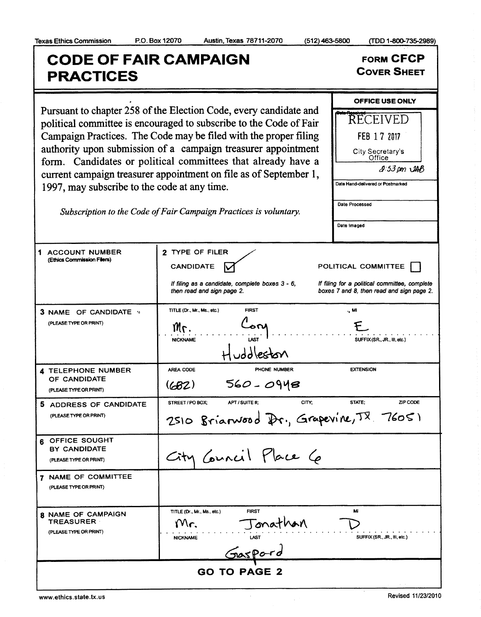$(512)$  463-5800

(TDD 1-800-735-2989)

**FORM CFCP** 

**COVER SHEET** 

OFFICE USE ONLY

RECEIVED

FEB 17 2017

## **CODE OF FAIR CAMPAIGN PRACTICES** Pursuant to chapter 258 of the Election Code, every candidate and political committee is encouraged to subscribe to the Code of Fair Campaign Practices. The Code may be filed with the proper filing authority upon submission of a campaign treasurer appointment

| authority upon submission of a campaign treasurer appointment<br>City Secretary's<br>Office<br>form. Candidates or political committees that already have a<br>$2.53 \text{ pm}$ $\mathcal{L}AB$<br>current campaign treasurer appointment on file as of September 1,<br>Date Hand-delivered or Postmarked<br>1997, may subscribe to the code at any time.<br>Date Processed<br>Subscription to the Code of Fair Campaign Practices is voluntary.<br>Date Imaged |                                                                                                                      |                                                                                                                   |
|------------------------------------------------------------------------------------------------------------------------------------------------------------------------------------------------------------------------------------------------------------------------------------------------------------------------------------------------------------------------------------------------------------------------------------------------------------------|----------------------------------------------------------------------------------------------------------------------|-------------------------------------------------------------------------------------------------------------------|
| 1 ACCOUNT NUMBER<br>(Ethics Commission Filers)                                                                                                                                                                                                                                                                                                                                                                                                                   | 2 TYPE OF FILER<br><b>CANDIDATE</b><br>If filing as a candidate, complete boxes 3 - 6,<br>then read and sign page 2. | POLITICAL COMMITTEE<br>If filing for a political committee, complete<br>boxes 7 and 8, then read and sign page 2. |
| 3 NAME OF CANDIDATE *<br>(PLEASE TYPE OR PRINT)                                                                                                                                                                                                                                                                                                                                                                                                                  | <b>FIRST</b><br>TITLE (Dr., Mr., Ms., etc.)<br>้อณ<br>IИг.<br><b>NICKNAME</b><br>iddleston                           | ., MI<br>SUFFIX (SR., JR., III, etc.)                                                                             |
| <b>4 TELEPHONE NUMBER</b><br>OF CANDIDATE<br>(PLEASE TYPE OR PRINT)                                                                                                                                                                                                                                                                                                                                                                                              | PHONE NUMBER<br>AREA CODE<br>560 - 0948<br>(682)                                                                     | <b>EXTENSION</b>                                                                                                  |
| 5 ADDRESS OF CANDIDATE<br>(PLEASE TYPE OR PRINT)                                                                                                                                                                                                                                                                                                                                                                                                                 | CITY:<br>STREET / PO BOX;<br>APT / SUITE #:<br>2510 Brianwood Dr., Grapevine, TX 76051                               | STATE:<br>ZIP CODE                                                                                                |
| OFFICE SOUGHT<br>6.<br>BY CANDIDATE<br>(PLEASE TYPE OR PRINT)                                                                                                                                                                                                                                                                                                                                                                                                    | City Council Place Co                                                                                                |                                                                                                                   |
| 7 NAME OF COMMITTEE<br>(PLEASE TYPE OR PRINT)                                                                                                                                                                                                                                                                                                                                                                                                                    |                                                                                                                      |                                                                                                                   |
| 8 NAME OF CAMPAIGN<br><b>TREASURER</b><br>(PLEASE TYPE OR PRINT)                                                                                                                                                                                                                                                                                                                                                                                                 | <b>FIRST</b><br>TITLE (Dr., Mr., Ms., etc.)<br>Jonathan<br>Gaspord<br>Mr.<br><b>NICKNAME</b>                         | M<br>SUFFIX (SR., JR., III, etc.)                                                                                 |
| <b>GO TO PAGE 2</b>                                                                                                                                                                                                                                                                                                                                                                                                                                              |                                                                                                                      |                                                                                                                   |